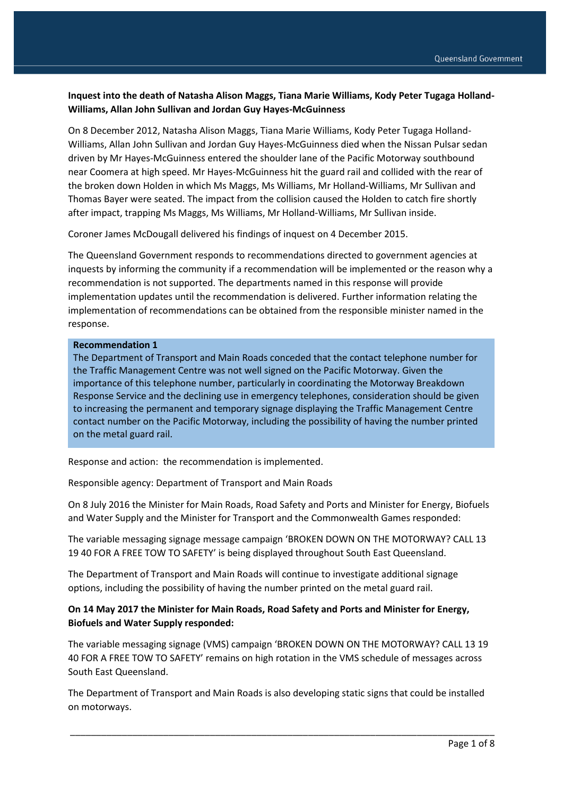# **Inquest into the death of Natasha Alison Maggs, Tiana Marie Williams, Kody Peter Tugaga Holland-Williams, Allan John Sullivan and Jordan Guy Hayes-McGuinness**

On 8 December 2012, Natasha Alison Maggs, Tiana Marie Williams, Kody Peter Tugaga Holland-Williams, Allan John Sullivan and Jordan Guy Hayes-McGuinness died when the Nissan Pulsar sedan driven by Mr Hayes-McGuinness entered the shoulder lane of the Pacific Motorway southbound near Coomera at high speed. Mr Hayes-McGuinness hit the guard rail and collided with the rear of the broken down Holden in which Ms Maggs, Ms Williams, Mr Holland-Williams, Mr Sullivan and Thomas Bayer were seated. The impact from the collision caused the Holden to catch fire shortly after impact, trapping Ms Maggs, Ms Williams, Mr Holland-Williams, Mr Sullivan inside.

Coroner James McDougall delivered his findings of inquest on 4 December 2015.

The Queensland Government responds to recommendations directed to government agencies at inquests by informing the community if a recommendation will be implemented or the reason why a recommendation is not supported. The departments named in this response will provide implementation updates until the recommendation is delivered. Further information relating the implementation of recommendations can be obtained from the responsible minister named in the response.

#### **Recommendation 1**

The Department of Transport and Main Roads conceded that the contact telephone number for the Traffic Management Centre was not well signed on the Pacific Motorway. Given the importance of this telephone number, particularly in coordinating the Motorway Breakdown Response Service and the declining use in emergency telephones, consideration should be given to increasing the permanent and temporary signage displaying the Traffic Management Centre contact number on the Pacific Motorway, including the possibility of having the number printed on the metal guard rail.

Response and action: the recommendation is implemented.

Responsible agency: Department of Transport and Main Roads

On 8 July 2016 the Minister for Main Roads, Road Safety and Ports and Minister for Energy, Biofuels and Water Supply and the Minister for Transport and the Commonwealth Games responded:

The variable messaging signage message campaign 'BROKEN DOWN ON THE MOTORWAY? CALL 13 19 40 FOR A FREE TOW TO SAFETY' is being displayed throughout South East Queensland.

The Department of Transport and Main Roads will continue to investigate additional signage options, including the possibility of having the number printed on the metal guard rail.

# **On 14 May 2017 the Minister for Main Roads, Road Safety and Ports and Minister for Energy, Biofuels and Water Supply responded:**

The variable messaging signage (VMS) campaign 'BROKEN DOWN ON THE MOTORWAY? CALL 13 19 40 FOR A FREE TOW TO SAFETY' remains on high rotation in the VMS schedule of messages across South East Queensland.

The Department of Transport and Main Roads is also developing static signs that could be installed on motorways.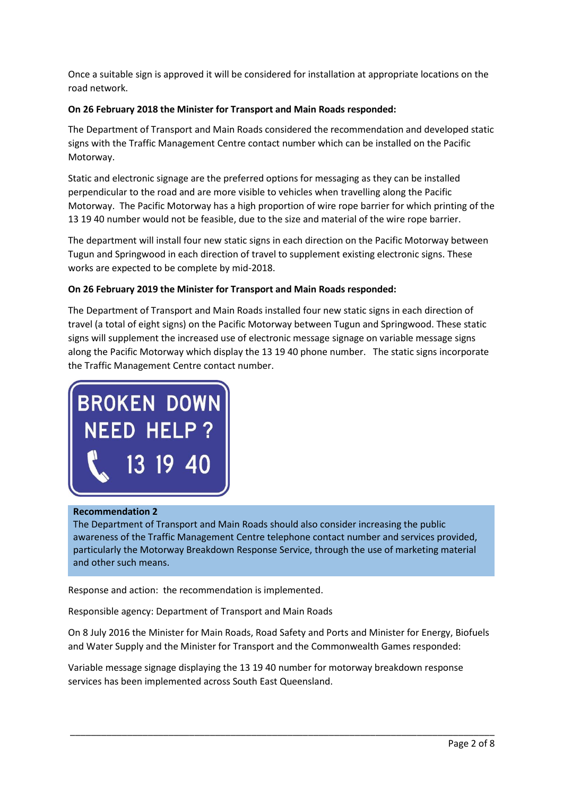Once a suitable sign is approved it will be considered for installation at appropriate locations on the road network.

# **On 26 February 2018 the Minister for Transport and Main Roads responded:**

The Department of Transport and Main Roads considered the recommendation and developed static signs with the Traffic Management Centre contact number which can be installed on the Pacific Motorway.

Static and electronic signage are the preferred options for messaging as they can be installed perpendicular to the road and are more visible to vehicles when travelling along the Pacific Motorway. The Pacific Motorway has a high proportion of wire rope barrier for which printing of the 13 19 40 number would not be feasible, due to the size and material of the wire rope barrier.

The department will install four new static signs in each direction on the Pacific Motorway between Tugun and Springwood in each direction of travel to supplement existing electronic signs. These works are expected to be complete by mid-2018.

# **On 26 February 2019 the Minister for Transport and Main Roads responded:**

The Department of Transport and Main Roads installed four new static signs in each direction of travel (a total of eight signs) on the Pacific Motorway between Tugun and Springwood. These static signs will supplement the increased use of electronic message signage on variable message signs along the Pacific Motorway which display the 13 19 40 phone number. The static signs incorporate the Traffic Management Centre contact number.



### **Recommendation 2**

The Department of Transport and Main Roads should also consider increasing the public awareness of the Traffic Management Centre telephone contact number and services provided, particularly the Motorway Breakdown Response Service, through the use of marketing material and other such means.

Response and action: the recommendation is implemented.

Responsible agency: Department of Transport and Main Roads

On 8 July 2016 the Minister for Main Roads, Road Safety and Ports and Minister for Energy, Biofuels and Water Supply and the Minister for Transport and the Commonwealth Games responded:

\_\_\_\_\_\_\_\_\_\_\_\_\_\_\_\_\_\_\_\_\_\_\_\_\_\_\_\_\_\_\_\_\_\_\_\_\_\_\_\_\_\_\_\_\_\_\_\_\_\_\_\_\_\_\_\_\_\_\_\_\_\_\_\_\_\_\_\_\_\_\_\_\_\_\_\_\_\_\_\_\_\_

Variable message signage displaying the 13 19 40 number for motorway breakdown response services has been implemented across South East Queensland.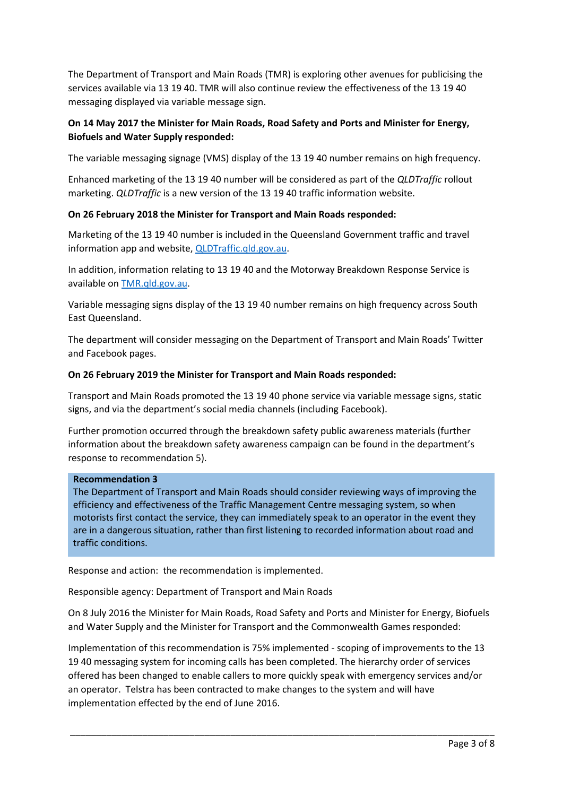The Department of Transport and Main Roads (TMR) is exploring other avenues for publicising the services available via 13 19 40. TMR will also continue review the effectiveness of the 13 19 40 messaging displayed via variable message sign.

# **On 14 May 2017 the Minister for Main Roads, Road Safety and Ports and Minister for Energy, Biofuels and Water Supply responded:**

The variable messaging signage (VMS) display of the 13 19 40 number remains on high frequency.

Enhanced marketing of the 13 19 40 number will be considered as part of the *QLDTraffic* rollout marketing. *QLDTraffic* is a new version of the 13 19 40 traffic information website.

## **On 26 February 2018 the Minister for Transport and Main Roads responded:**

Marketing of the 13 19 40 number is included in the Queensland Government traffic and travel information app and website[, QLDTraffic.qld.gov.au.](https://qldtraffic.qld.gov.au/)

In addition, information relating to 13 19 40 and the Motorway Breakdown Response Service is available on [TMR.qld.gov.au.](https://www.tmr.qld.gov.au/)

Variable messaging signs display of the 13 19 40 number remains on high frequency across South East Queensland.

The department will consider messaging on the Department of Transport and Main Roads' Twitter and Facebook pages.

## **On 26 February 2019 the Minister for Transport and Main Roads responded:**

Transport and Main Roads promoted the 13 19 40 phone service via variable message signs, static signs, and via the department's social media channels (including Facebook).

Further promotion occurred through the breakdown safety public awareness materials (further information about the breakdown safety awareness campaign can be found in the department's response to recommendation 5).

### **Recommendation 3**

The Department of Transport and Main Roads should consider reviewing ways of improving the efficiency and effectiveness of the Traffic Management Centre messaging system, so when motorists first contact the service, they can immediately speak to an operator in the event they are in a dangerous situation, rather than first listening to recorded information about road and traffic conditions.

Response and action: the recommendation is implemented.

Responsible agency: Department of Transport and Main Roads

On 8 July 2016 the Minister for Main Roads, Road Safety and Ports and Minister for Energy, Biofuels and Water Supply and the Minister for Transport and the Commonwealth Games responded:

Implementation of this recommendation is 75% implemented - scoping of improvements to the 13 19 40 messaging system for incoming calls has been completed. The hierarchy order of services offered has been changed to enable callers to more quickly speak with emergency services and/or an operator. Telstra has been contracted to make changes to the system and will have implementation effected by the end of June 2016.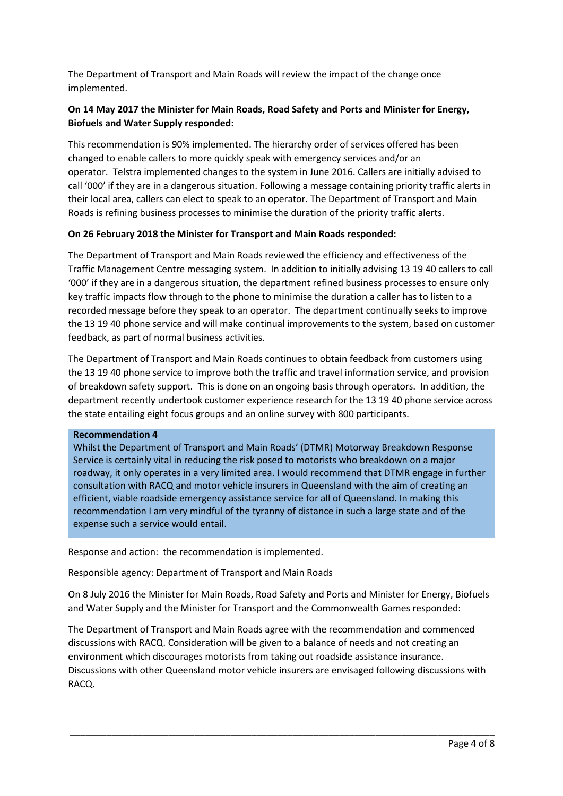The Department of Transport and Main Roads will review the impact of the change once implemented.

# **On 14 May 2017 the Minister for Main Roads, Road Safety and Ports and Minister for Energy, Biofuels and Water Supply responded:**

This recommendation is 90% implemented. The hierarchy order of services offered has been changed to enable callers to more quickly speak with emergency services and/or an operator. Telstra implemented changes to the system in June 2016. Callers are initially advised to call '000' if they are in a dangerous situation. Following a message containing priority traffic alerts in their local area, callers can elect to speak to an operator. The Department of Transport and Main Roads is refining business processes to minimise the duration of the priority traffic alerts.

## **On 26 February 2018 the Minister for Transport and Main Roads responded:**

The Department of Transport and Main Roads reviewed the efficiency and effectiveness of the Traffic Management Centre messaging system. In addition to initially advising 13 19 40 callers to call '000' if they are in a dangerous situation, the department refined business processes to ensure only key traffic impacts flow through to the phone to minimise the duration a caller has to listen to a recorded message before they speak to an operator. The department continually seeks to improve the 13 19 40 phone service and will make continual improvements to the system, based on customer feedback, as part of normal business activities.

The Department of Transport and Main Roads continues to obtain feedback from customers using the 13 19 40 phone service to improve both the traffic and travel information service, and provision of breakdown safety support. This is done on an ongoing basis through operators. In addition, the department recently undertook customer experience research for the 13 19 40 phone service across the state entailing eight focus groups and an online survey with 800 participants.

### **Recommendation 4**

Whilst the Department of Transport and Main Roads' (DTMR) Motorway Breakdown Response Service is certainly vital in reducing the risk posed to motorists who breakdown on a major roadway, it only operates in a very limited area. I would recommend that DTMR engage in further consultation with RACQ and motor vehicle insurers in Queensland with the aim of creating an efficient, viable roadside emergency assistance service for all of Queensland. In making this recommendation I am very mindful of the tyranny of distance in such a large state and of the expense such a service would entail.

Response and action: the recommendation is implemented.

Responsible agency: Department of Transport and Main Roads

On 8 July 2016 the Minister for Main Roads, Road Safety and Ports and Minister for Energy, Biofuels and Water Supply and the Minister for Transport and the Commonwealth Games responded:

The Department of Transport and Main Roads agree with the recommendation and commenced discussions with RACQ. Consideration will be given to a balance of needs and not creating an environment which discourages motorists from taking out roadside assistance insurance. Discussions with other Queensland motor vehicle insurers are envisaged following discussions with RACQ.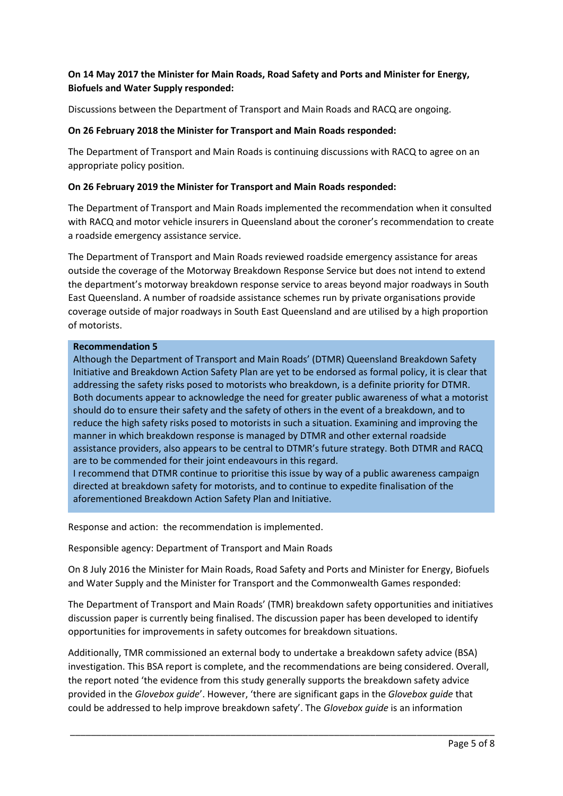# **On 14 May 2017 the Minister for Main Roads, Road Safety and Ports and Minister for Energy, Biofuels and Water Supply responded:**

Discussions between the Department of Transport and Main Roads and RACQ are ongoing.

### **On 26 February 2018 the Minister for Transport and Main Roads responded:**

The Department of Transport and Main Roads is continuing discussions with RACQ to agree on an appropriate policy position.

### **On 26 February 2019 the Minister for Transport and Main Roads responded:**

The Department of Transport and Main Roads implemented the recommendation when it consulted with RACQ and motor vehicle insurers in Queensland about the coroner's recommendation to create a roadside emergency assistance service.

The Department of Transport and Main Roads reviewed roadside emergency assistance for areas outside the coverage of the Motorway Breakdown Response Service but does not intend to extend the department's motorway breakdown response service to areas beyond major roadways in South East Queensland. A number of roadside assistance schemes run by private organisations provide coverage outside of major roadways in South East Queensland and are utilised by a high proportion of motorists.

#### **Recommendation 5**

Although the Department of Transport and Main Roads' (DTMR) Queensland Breakdown Safety Initiative and Breakdown Action Safety Plan are yet to be endorsed as formal policy, it is clear that addressing the safety risks posed to motorists who breakdown, is a definite priority for DTMR. Both documents appear to acknowledge the need for greater public awareness of what a motorist should do to ensure their safety and the safety of others in the event of a breakdown, and to reduce the high safety risks posed to motorists in such a situation. Examining and improving the manner in which breakdown response is managed by DTMR and other external roadside assistance providers, also appears to be central to DTMR's future strategy. Both DTMR and RACQ are to be commended for their joint endeavours in this regard.

I recommend that DTMR continue to prioritise this issue by way of a public awareness campaign directed at breakdown safety for motorists, and to continue to expedite finalisation of the aforementioned Breakdown Action Safety Plan and Initiative.

Response and action: the recommendation is implemented.

Responsible agency: Department of Transport and Main Roads

On 8 July 2016 the Minister for Main Roads, Road Safety and Ports and Minister for Energy, Biofuels and Water Supply and the Minister for Transport and the Commonwealth Games responded:

The Department of Transport and Main Roads' (TMR) breakdown safety opportunities and initiatives discussion paper is currently being finalised. The discussion paper has been developed to identify opportunities for improvements in safety outcomes for breakdown situations.

Additionally, TMR commissioned an external body to undertake a breakdown safety advice (BSA) investigation. This BSA report is complete, and the recommendations are being considered. Overall, the report noted 'the evidence from this study generally supports the breakdown safety advice provided in the *Glovebox guide*'. However, 'there are significant gaps in the *Glovebox guide* that could be addressed to help improve breakdown safety'. The *Glovebox guide* is an information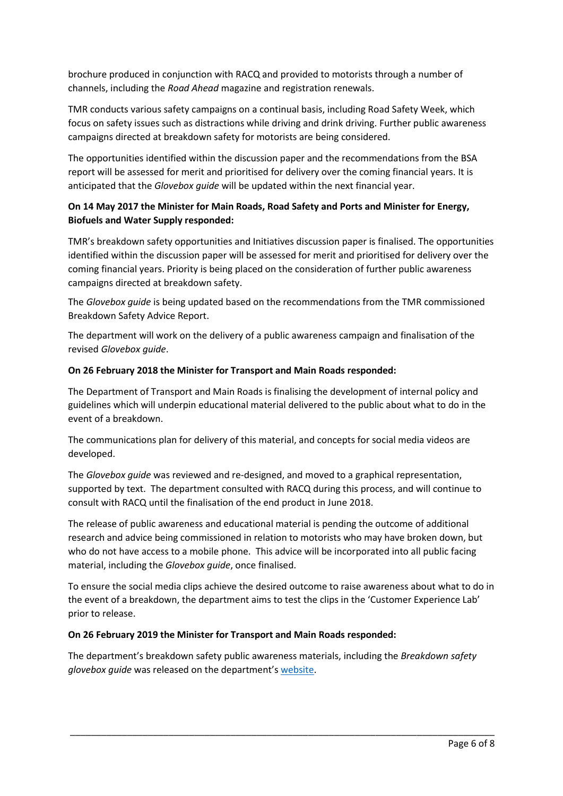brochure produced in conjunction with RACQ and provided to motorists through a number of channels, including the *Road Ahead* magazine and registration renewals.

TMR conducts various safety campaigns on a continual basis, including Road Safety Week, which focus on safety issues such as distractions while driving and drink driving. Further public awareness campaigns directed at breakdown safety for motorists are being considered.

The opportunities identified within the discussion paper and the recommendations from the BSA report will be assessed for merit and prioritised for delivery over the coming financial years. It is anticipated that the *Glovebox guide* will be updated within the next financial year.

# **On 14 May 2017 the Minister for Main Roads, Road Safety and Ports and Minister for Energy, Biofuels and Water Supply responded:**

TMR's breakdown safety opportunities and Initiatives discussion paper is finalised. The opportunities identified within the discussion paper will be assessed for merit and prioritised for delivery over the coming financial years. Priority is being placed on the consideration of further public awareness campaigns directed at breakdown safety.

The *Glovebox guide* is being updated based on the recommendations from the TMR commissioned Breakdown Safety Advice Report.

The department will work on the delivery of a public awareness campaign and finalisation of the revised *Glovebox guide*.

## **On 26 February 2018 the Minister for Transport and Main Roads responded:**

The Department of Transport and Main Roads is finalising the development of internal policy and guidelines which will underpin educational material delivered to the public about what to do in the event of a breakdown.

The communications plan for delivery of this material, and concepts for social media videos are developed.

The *Glovebox guide* was reviewed and re-designed, and moved to a graphical representation, supported by text. The department consulted with RACQ during this process, and will continue to consult with RACQ until the finalisation of the end product in June 2018.

The release of public awareness and educational material is pending the outcome of additional research and advice being commissioned in relation to motorists who may have broken down, but who do not have access to a mobile phone. This advice will be incorporated into all public facing material, including the *Glovebox guide*, once finalised.

To ensure the social media clips achieve the desired outcome to raise awareness about what to do in the event of a breakdown, the department aims to test the clips in the 'Customer Experience Lab' prior to release.

### **On 26 February 2019 the Minister for Transport and Main Roads responded:**

The department's breakdown safety public awareness materials, including the *Breakdown safety glovebox guide* was released on the department's [website.](https://www.tmr.qld.gov.au/breakdownsafety)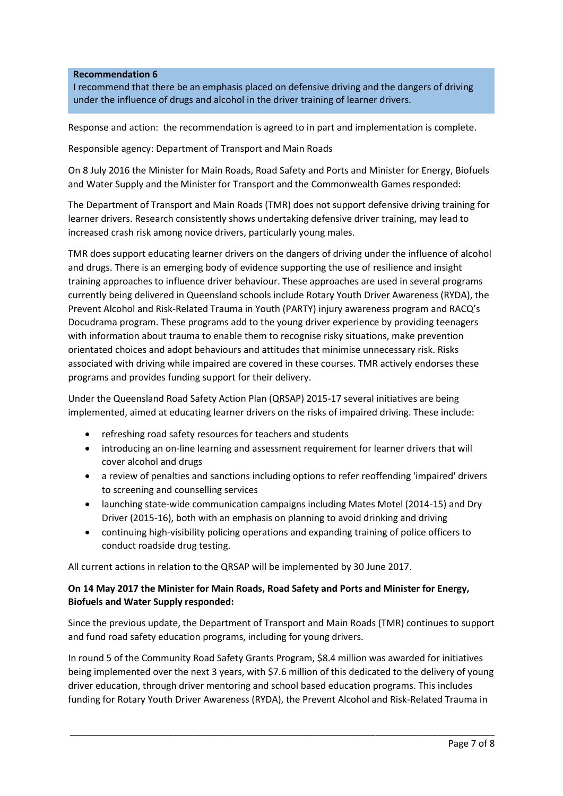### **Recommendation 6**

I recommend that there be an emphasis placed on defensive driving and the dangers of driving under the influence of drugs and alcohol in the driver training of learner drivers.

Response and action: the recommendation is agreed to in part and implementation is complete.

Responsible agency: Department of Transport and Main Roads

On 8 July 2016 the Minister for Main Roads, Road Safety and Ports and Minister for Energy, Biofuels and Water Supply and the Minister for Transport and the Commonwealth Games responded:

The Department of Transport and Main Roads (TMR) does not support defensive driving training for learner drivers. Research consistently shows undertaking defensive driver training, may lead to increased crash risk among novice drivers, particularly young males.

TMR does support educating learner drivers on the dangers of driving under the influence of alcohol and drugs. There is an emerging body of evidence supporting the use of resilience and insight training approaches to influence driver behaviour. These approaches are used in several programs currently being delivered in Queensland schools include Rotary Youth Driver Awareness (RYDA), the Prevent Alcohol and Risk-Related Trauma in Youth (PARTY) injury awareness program and RACQ's Docudrama program. These programs add to the young driver experience by providing teenagers with information about trauma to enable them to recognise risky situations, make prevention orientated choices and adopt behaviours and attitudes that minimise unnecessary risk. Risks associated with driving while impaired are covered in these courses. TMR actively endorses these programs and provides funding support for their delivery.

Under the Queensland Road Safety Action Plan (QRSAP) 2015-17 several initiatives are being implemented, aimed at educating learner drivers on the risks of impaired driving. These include:

- refreshing road safety resources for teachers and students
- introducing an on-line learning and assessment requirement for learner drivers that will cover alcohol and drugs
- a review of penalties and sanctions including options to refer reoffending 'impaired' drivers to screening and counselling services
- launching state-wide communication campaigns including Mates Motel (2014-15) and Dry Driver (2015-16), both with an emphasis on planning to avoid drinking and driving
- continuing high-visibility policing operations and expanding training of police officers to conduct roadside drug testing.

All current actions in relation to the QRSAP will be implemented by 30 June 2017.

# **On 14 May 2017 the Minister for Main Roads, Road Safety and Ports and Minister for Energy, Biofuels and Water Supply responded:**

Since the previous update, the Department of Transport and Main Roads (TMR) continues to support and fund road safety education programs, including for young drivers.

In round 5 of the Community Road Safety Grants Program, \$8.4 million was awarded for initiatives being implemented over the next 3 years, with \$7.6 million of this dedicated to the delivery of young driver education, through driver mentoring and school based education programs. This includes funding for Rotary Youth Driver Awareness (RYDA), the Prevent Alcohol and Risk-Related Trauma in